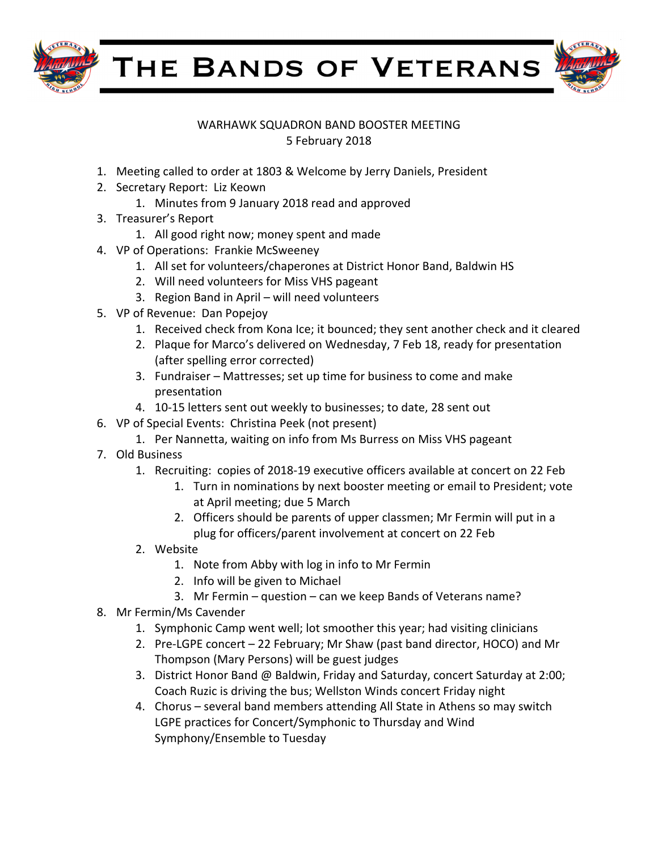

THE BANDS OF VETERANS



## WARHAWK SQUADRON BAND BOOSTER MEETING 5 February 2018

- 1. Meeting called to order at 1803 & Welcome by Jerry Daniels, President
- 2. Secretary Report: Liz Keown
	- 1. Minutes from 9 January 2018 read and approved
- 3. Treasurer's Report
	- 1. All good right now; money spent and made
- 4. VP of Operations: Frankie McSweeney
	- 1. All set for volunteers/chaperones at District Honor Band, Baldwin HS
	- 2. Will need volunteers for Miss VHS pageant
	- 3. Region Band in April will need volunteers
- 5. VP of Revenue: Dan Popejoy
	- 1. Received check from Kona Ice; it bounced; they sent another check and it cleared
	- 2. Plaque for Marco's delivered on Wednesday, 7 Feb 18, ready for presentation (after spelling error corrected)
	- 3. Fundraiser Mattresses; set up time for business to come and make presentation
	- 4. 10-15 letters sent out weekly to businesses; to date, 28 sent out
- 6. VP of Special Events: Christina Peek (not present)
	- 1. Per Nannetta, waiting on info from Ms Burress on Miss VHS pageant
- 7. Old Business
	- 1. Recruiting: copies of 2018-19 executive officers available at concert on 22 Feb
		- 1. Turn in nominations by next booster meeting or email to President; vote at April meeting; due 5 March
		- 2. Officers should be parents of upper classmen; Mr Fermin will put in a plug for officers/parent involvement at concert on 22 Feb
	- 2. Website
		- 1. Note from Abby with log in info to Mr Fermin
		- 2. Info will be given to Michael
		- 3. Mr Fermin question can we keep Bands of Veterans name?
- 8. Mr Fermin/Ms Cavender
	- 1. Symphonic Camp went well; lot smoother this year; had visiting clinicians
	- 2. Pre-LGPE concert 22 February; Mr Shaw (past band director, HOCO) and Mr Thompson (Mary Persons) will be guest judges
	- 3. District Honor Band @ Baldwin, Friday and Saturday, concert Saturday at 2:00; Coach Ruzic is driving the bus; Wellston Winds concert Friday night
	- 4. Chorus several band members attending All State in Athens so may switch LGPE practices for Concert/Symphonic to Thursday and Wind Symphony/Ensemble to Tuesday